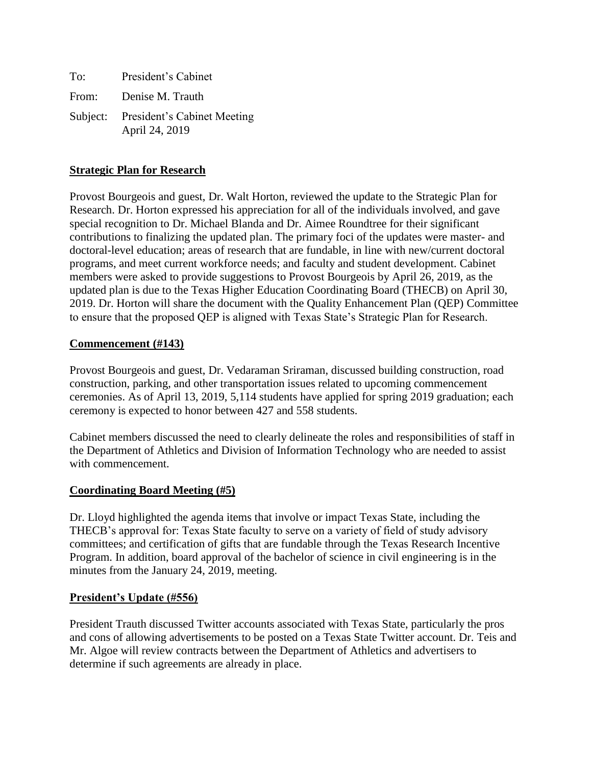| To: | President's Cabinet                                    |
|-----|--------------------------------------------------------|
|     | From: Denise M. Trauth                                 |
|     | Subject: President's Cabinet Meeting<br>April 24, 2019 |

# **Strategic Plan for Research**

Provost Bourgeois and guest, Dr. Walt Horton, reviewed the update to the Strategic Plan for Research. Dr. Horton expressed his appreciation for all of the individuals involved, and gave special recognition to Dr. Michael Blanda and Dr. Aimee Roundtree for their significant contributions to finalizing the updated plan. The primary foci of the updates were master- and doctoral-level education; areas of research that are fundable, in line with new/current doctoral programs, and meet current workforce needs; and faculty and student development. Cabinet members were asked to provide suggestions to Provost Bourgeois by April 26, 2019, as the updated plan is due to the Texas Higher Education Coordinating Board (THECB) on April 30, 2019. Dr. Horton will share the document with the Quality Enhancement Plan (QEP) Committee to ensure that the proposed QEP is aligned with Texas State's Strategic Plan for Research.

### **Commencement (#143)**

Provost Bourgeois and guest, Dr. Vedaraman Sriraman, discussed building construction, road construction, parking, and other transportation issues related to upcoming commencement ceremonies. As of April 13, 2019, 5,114 students have applied for spring 2019 graduation; each ceremony is expected to honor between 427 and 558 students.

Cabinet members discussed the need to clearly delineate the roles and responsibilities of staff in the Department of Athletics and Division of Information Technology who are needed to assist with commencement.

### **Coordinating Board Meeting (#5)**

Dr. Lloyd highlighted the agenda items that involve or impact Texas State, including the THECB's approval for: Texas State faculty to serve on a variety of field of study advisory committees; and certification of gifts that are fundable through the Texas Research Incentive Program. In addition, board approval of the bachelor of science in civil engineering is in the minutes from the January 24, 2019, meeting.

### **President's Update (#556)**

President Trauth discussed Twitter accounts associated with Texas State, particularly the pros and cons of allowing advertisements to be posted on a Texas State Twitter account. Dr. Teis and Mr. Algoe will review contracts between the Department of Athletics and advertisers to determine if such agreements are already in place.